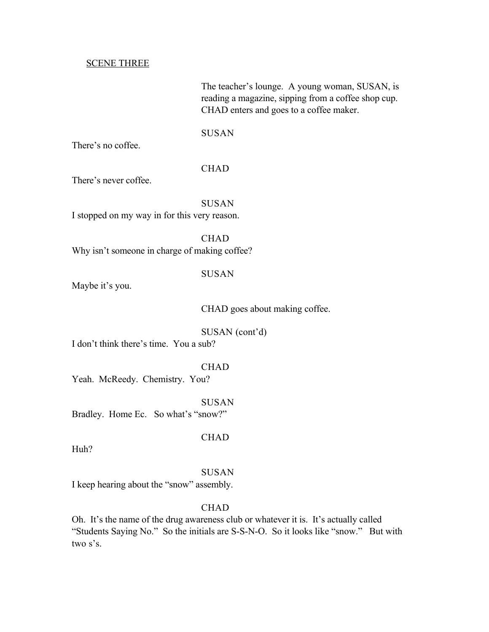#### SCENE THREE

The teacher's lounge. A young woman, SUSAN, is reading a magazine, sipping from a coffee shop cup. CHAD enters and goes to a coffee maker.

**SUSAN** 

There's no coffee.

## CHAD

There's never coffee.

**SUSAN** 

I stopped on my way in for this very reason.

**CHAD** Why isn't someone in charge of making coffee?

## SUSAN

Maybe it's you.

CHAD goes about making coffee.

SUSAN (cont'd)

I don't think there's time. You a sub?

#### CHAD

Yeah. McReedy. Chemistry. You?

SUSAN

Bradley. Home Ec. So what's "snow?"

CHAD

Huh?

#### SUSAN

I keep hearing about the "snow" assembly.

## **CHAD**

Oh. It's the name of the drug awareness club or whatever it is. It's actually called "Students Saying No." So the initials are S-S-N-O. So it looks like "snow." But with two s's.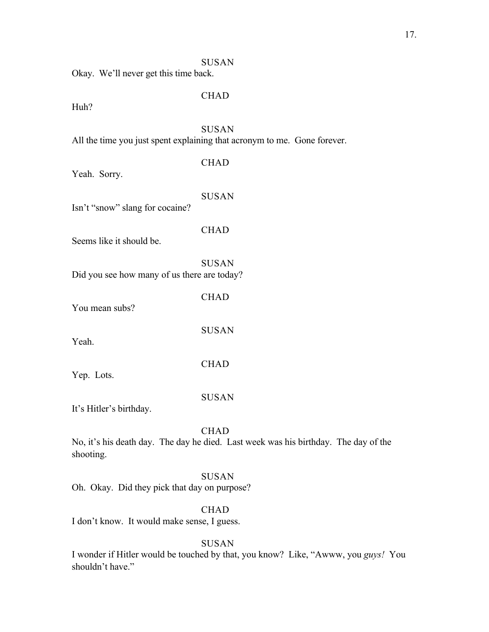#### SUSAN

Okay. We'll never get this time back.

## CHAD

Huh?

#### SUSAN

All the time you just spent explaining that acronym to me. Gone forever.

| Yeah. Sorry.                                | <b>CHAD</b>  |
|---------------------------------------------|--------------|
| Isn't "snow" slang for cocaine?             | <b>SUSAN</b> |
| Seems like it should be.                    | <b>CHAD</b>  |
| Did you see how many of us there are today? | SUSAN        |
| You mean subs?                              | CHAD         |
| Yeah.                                       | <b>SUSAN</b> |
| Yep. Lots.                                  | <b>CHAD</b>  |

# SUSAN

It's Hitler's birthday.

Yep. Lots.

### **CHAD**

No, it's his death day. The day he died. Last week was his birthday. The day of the shooting.

## SUSAN

Oh. Okay. Did they pick that day on purpose?

## **CHAD**

I don't know. It would make sense, I guess.

## SUSAN

I wonder if Hitler would be touched by that, you know? Like, "Awww, you *guys!* You shouldn't have."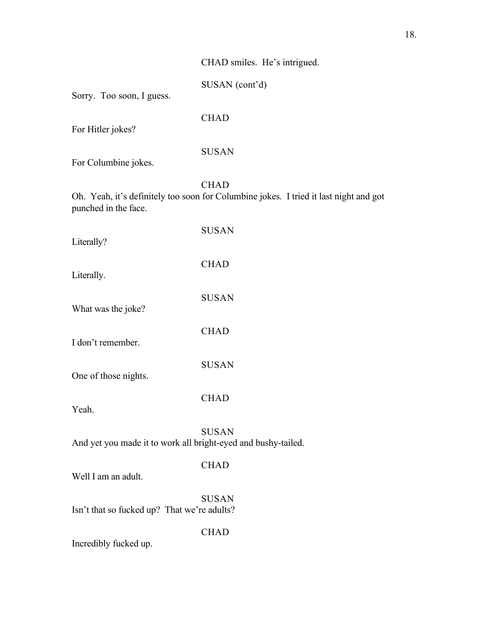## CHAD smiles. He's intrigued.

SUSAN (cont'd)

Sorry. Too soon, I guess.

CHAD

For Hitler jokes?

## SUSAN

For Columbine jokes.

**CHAD** 

Oh. Yeah, it's definitely too soon for Columbine jokes. I tried it last night and got punched in the face.

| Literally?           | <b>SUSAN</b> |
|----------------------|--------------|
| Literally.           | <b>CHAD</b>  |
| What was the joke?   | <b>SUSAN</b> |
| I don't remember.    | <b>CHAD</b>  |
| One of those nights. | <b>SUSAN</b> |
| Yeah.                | <b>CHAD</b>  |
|                      | SUSAN        |

And yet you made it to work all bright-eyed and bushy-tailed.

## CHAD

Well I am an adult.

SUSAN Isn't that so fucked up? That we're adults?

CHAD

Incredibly fucked up.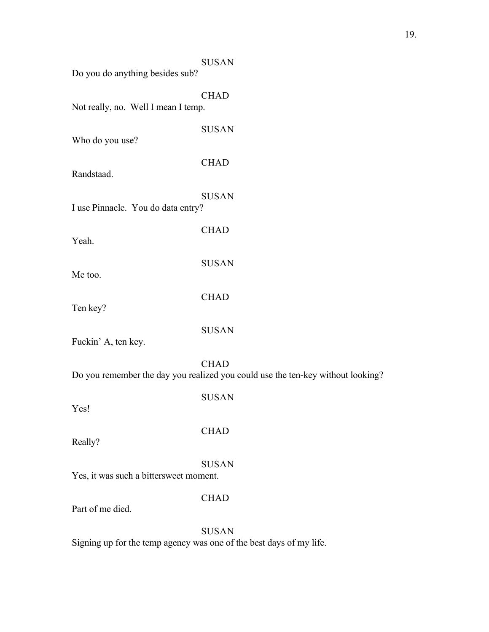| Do you do anything besides sub?        | <b>SUSAN</b>                                                                                   |
|----------------------------------------|------------------------------------------------------------------------------------------------|
| Not really, no. Well I mean I temp.    | <b>CHAD</b>                                                                                    |
| Who do you use?                        | <b>SUSAN</b>                                                                                   |
| Randstaad.                             | <b>CHAD</b>                                                                                    |
| I use Pinnacle. You do data entry?     | <b>SUSAN</b>                                                                                   |
| Yeah.                                  | <b>CHAD</b>                                                                                    |
| Me too.                                | <b>SUSAN</b>                                                                                   |
| Ten key?                               | <b>CHAD</b>                                                                                    |
| Fuckin' A, ten key.                    | <b>SUSAN</b>                                                                                   |
|                                        | <b>CHAD</b><br>Do you remember the day you realized you could use the ten-key without looking? |
| Yes!                                   | <b>SUSAN</b>                                                                                   |
| Really?                                | <b>CHAD</b>                                                                                    |
| Yes, it was such a bittersweet moment. | <b>SUSAN</b>                                                                                   |
| Part of me died.                       | <b>CHAD</b>                                                                                    |
|                                        | <b>SUSAN</b>                                                                                   |

Signing up for the temp agency was one of the best days of my life.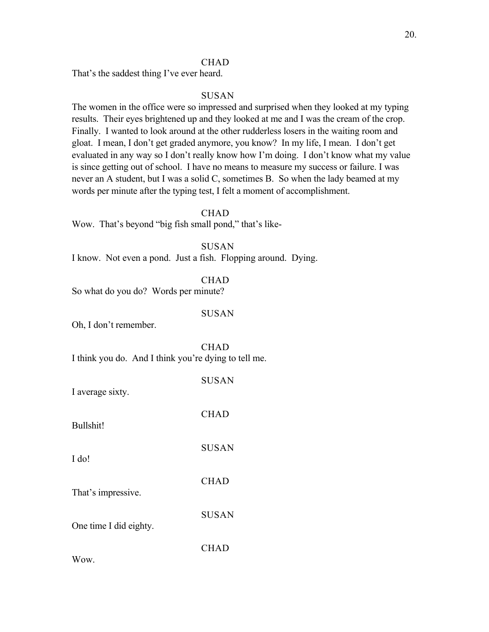#### **CHAD**

That's the saddest thing I've ever heard.

#### SUSAN

The women in the office were so impressed and surprised when they looked at my typing results. Their eyes brightened up and they looked at me and I was the cream of the crop. Finally. I wanted to look around at the other rudderless losers in the waiting room and gloat. I mean, I don't get graded anymore, you know? In my life, I mean. I don't get evaluated in any way so I don't really know how I'm doing. I don't know what my value is since getting out of school. I have no means to measure my success or failure. I was never an A student, but I was a solid C, sometimes B. So when the lady beamed at my words per minute after the typing test, I felt a moment of accomplishment.

**CHAD** 

Wow. That's beyond "big fish small pond," that's like-

SUSAN

I know. Not even a pond. Just a fish. Flopping around. Dying.

CHAD

So what do you do? Words per minute?

#### SUSAN

Oh, I don't remember.

**CHAD** I think you do. And I think you're dying to tell me.

| I average sixty.       | <b>SUSAN</b> |
|------------------------|--------------|
| Bullshit!              | <b>CHAD</b>  |
| I do!                  | <b>SUSAN</b> |
| That's impressive.     | <b>CHAD</b>  |
| One time I did eighty. | <b>SUSAN</b> |
| Wow.                   | <b>CHAD</b>  |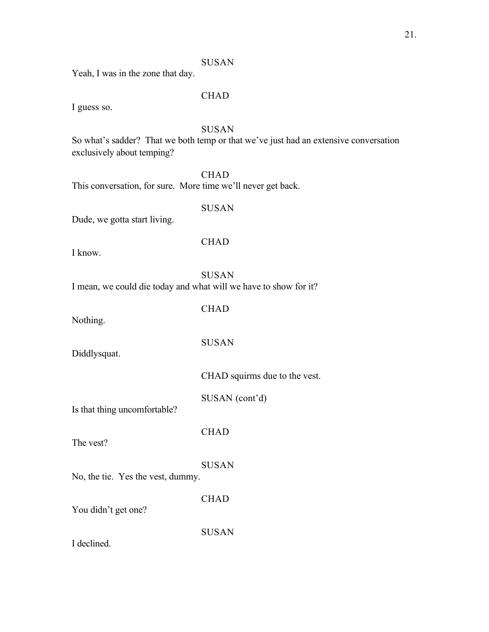## SUSAN

Yeah, I was in the zone that day.

## CHAD

I guess so.

## SUSAN

So what's sadder? That we both temp or that we've just had an extensive conversation exclusively about temping?

**CHAD** This conversation, for sure. More time we'll never get back.

## SUSAN

Dude, we gotta start living.

I know.

**CHAD** 

SUSAN

I mean, we could die today and what will we have to show for it?

**CHAD** 

SUSAN

CHAD

CHAD

SUSAN

Nothing.

Diddlysquat.

CHAD squirms due to the vest.

SUSAN (cont'd)

Is that thing uncomfortable?

The vest?

SUSAN No, the tie. Yes the vest, dummy.

You didn't get one?

I declined.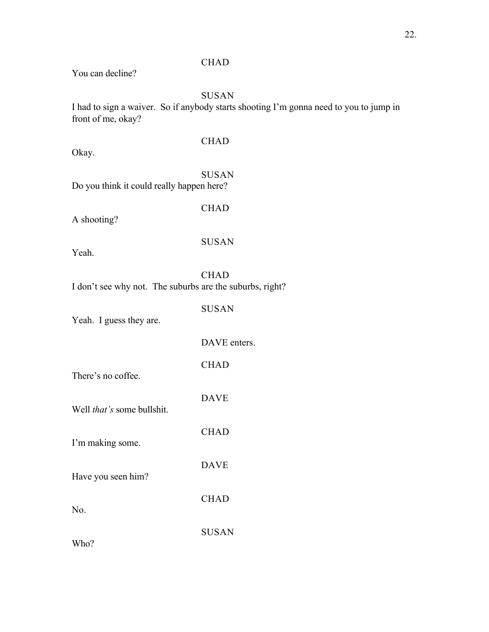# **CHAD**

You can decline?

# SUSAN

I had to sign a waiver. So if anybody starts shooting I'm gonna need to you to jump in front of me, okay?

| Okay.                                                    | <b>CHAD</b>  |
|----------------------------------------------------------|--------------|
| Do you think it could really happen here?                | <b>SUSAN</b> |
| A shooting?                                              | <b>CHAD</b>  |
| Yeah.                                                    | <b>SUSAN</b> |
| I don't see why not. The suburbs are the suburbs, right? | <b>CHAD</b>  |
| Yeah. I guess they are.                                  | <b>SUSAN</b> |
|                                                          | DAVE enters. |
| There's no coffee.                                       | <b>CHAD</b>  |
| Well that's some bullshit.                               | <b>DAVE</b>  |
| I'm making some.                                         | <b>CHAD</b>  |
| Have you seen him?                                       | <b>DAVE</b>  |
| No.                                                      | <b>CHAD</b>  |
|                                                          | <b>SUSAN</b> |

Who?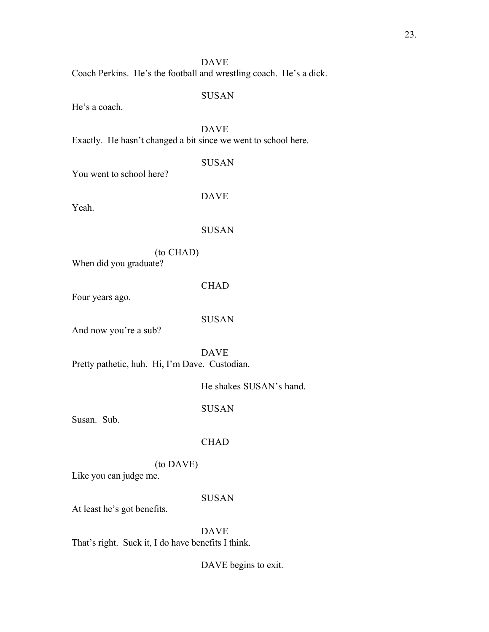Coach Perkins. He's the football and wrestling coach. He's a dick.

#### SUSAN

He's a coach.

DAVE Exactly. He hasn't changed a bit since we went to school here.

You went to school here?

DAVE

SUSAN

Yeah.

#### SUSAN

(to CHAD) When did you graduate?

#### CHAD

Four years ago.

#### SUSAN

And now you're a sub?

DAVE Pretty pathetic, huh. Hi, I'm Dave. Custodian.

SUSAN

Susan. Sub.

## CHAD

## (to DAVE)

Like you can judge me.

## SUSAN

At least he's got benefits.

DAVE

That's right. Suck it, I do have benefits I think.

DAVE begins to exit.

He shakes SUSAN's hand.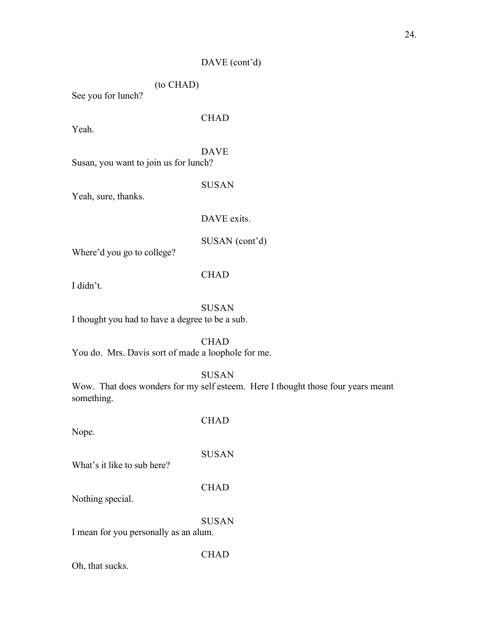## DAVE (cont'd)

(to CHAD)

See you for lunch?

Yeah.

CHAD

DAVE

Susan, you want to join us for lunch?

SUSAN

Yeah, sure, thanks.

DAVE exits.

SUSAN (cont'd)

Where'd you go to college?

CHAD

I didn't.

## SUSAN

I thought you had to have a degree to be a sub.

CHAD

You do. Mrs. Davis sort of made a loophole for me.

SUSAN

Wow. That does wonders for my self esteem. Here I thought those four years meant something.

Nope.

CHAD

SUSAN

What's it like to sub here?

CHAD

Nothing special.

SUSAN

I mean for you personally as an alum.

Oh, that sucks.

**CHAD**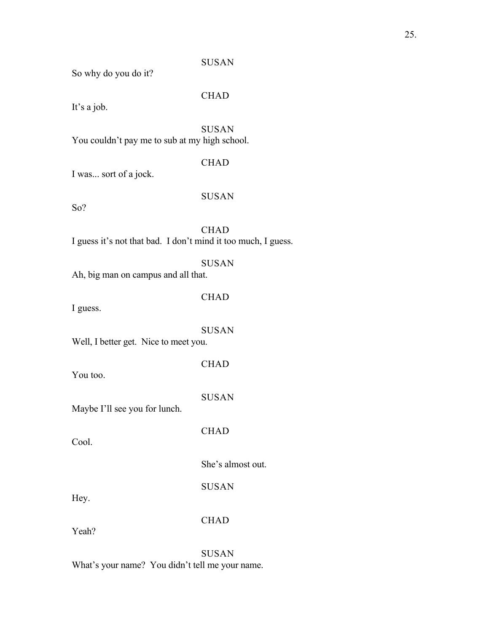### SUSAN

So why do you do it?

## CHAD

It's a job.

SUSAN You couldn't pay me to sub at my high school.

## **CHAD**

I was... sort of a jock.

So?

# SUSAN

**CHAD** I guess it's not that bad. I don't mind it too much, I guess.

#### SUSAN

Ah, big man on campus and all that.

## **CHAD**

I guess.

#### SUSAN

CHAD

Well, I better get. Nice to meet you.

You too.

SUSAN

**CHAD** 

Maybe I'll see you for lunch.

Cool.

She's almost out.

SUSAN

Hey.

CHAD

Yeah?

SUSAN What's your name? You didn't tell me your name.